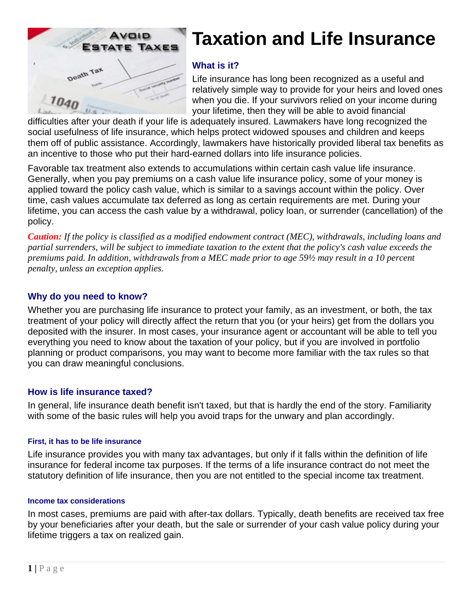

# **Taxation and Life Insurance**

## **What is it?**

Life insurance has long been recognized as a useful and relatively simple way to provide for your heirs and loved ones when you die. If your survivors relied on your income during your lifetime, then they will be able to avoid financial

difficulties after your death if your life is adequately insured. Lawmakers have long recognized the social usefulness of life insurance, which helps protect widowed spouses and children and keeps them off of public assistance. Accordingly, lawmakers have historically provided liberal tax benefits as an incentive to those who put their hard-earned dollars into life insurance policies.

Favorable tax treatment also extends to accumulations within certain cash value life insurance. Generally, when you pay premiums on a cash value life insurance policy, some of your money is applied toward the policy cash value, which is similar to a savings account within the policy. Over time, cash values accumulate tax deferred as long as certain requirements are met. During your lifetime, you can access the cash value by a withdrawal, policy loan, or surrender (cancellation) of the policy.

*Caution: If the policy is classified as a modified endowment contract (MEC), withdrawals, including loans and partial surrenders, will be subject to immediate taxation to the extent that the policy's cash value exceeds the premiums paid. In addition, withdrawals from a MEC made prior to age 59½ may result in a 10 percent penalty, unless an exception applies.* 

## **Why do you need to know?**

Whether you are purchasing life insurance to protect your family, as an investment, or both, the tax treatment of your policy will directly affect the return that you (or your heirs) get from the dollars you deposited with the insurer. In most cases, your insurance agent or accountant will be able to tell you everything you need to know about the taxation of your policy, but if you are involved in portfolio planning or product comparisons, you may want to become more familiar with the tax rules so that you can draw meaningful conclusions.

### **How is life insurance taxed?**

In general, life insurance death benefit isn't taxed, but that is hardly the end of the story. Familiarity with some of the basic rules will help you avoid traps for the unwary and plan accordingly.

#### **First, it has to be life insurance**

Life insurance provides you with many tax advantages, but only if it falls within the definition of life insurance for federal income tax purposes. If the terms of a life insurance contract do not meet the statutory definition of life insurance, then you are not entitled to the special income tax treatment.

#### **Income tax considerations**

In most cases, premiums are paid with after-tax dollars. Typically, death benefits are received tax free by your beneficiaries after your death, but the sale or surrender of your cash value policy during your lifetime triggers a tax on realized gain.